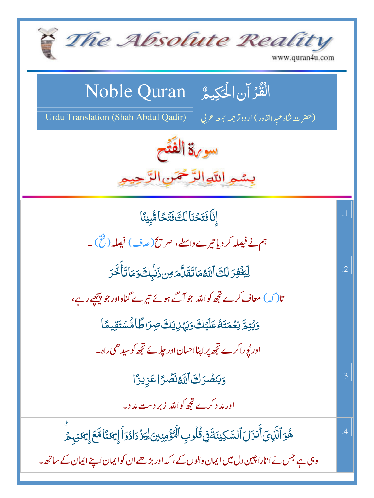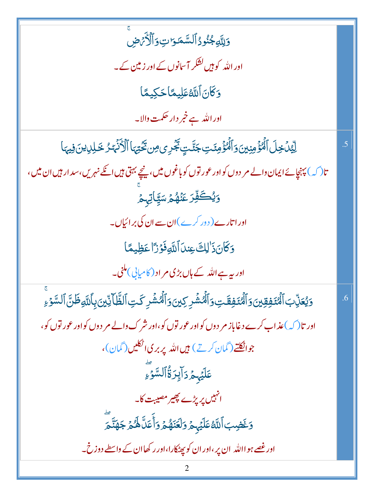| وَلِلَّهِ جُنُودُ ٱلسَّمَوَاتِ وَٱلْأَيۡرَضِ                                                                        |    |
|---------------------------------------------------------------------------------------------------------------------|----|
| اور اللہ کو ہیں کشکر آسانوں کے اور <mark>زمین</mark> کے۔                                                            |    |
| وَكَانَ ٱللَّهُ عَلِيهًا حَكِيمًا                                                                                   |    |
| اور اللہ ہے خبر دار حکمت والا۔                                                                                      |    |
| لِّيْنَ خِلَ ٱلْمُؤْمِنِينَ وَٱلْمُؤْمِنَتِ جَنَّتٍ جَُرِى مِن تَخْتِهَا ٱلْأَنْهَارُ خَلِلِيهِنَ فِيهَا            | .5 |
| تا (کہ) پہنچائے ایمان دالے مر دوں کواور عور توں کو باغوں میں، نیچے بہتی ہیں انکے نہریں،سد ار ہیں ان میں،            |    |
| <u>ۅؙؽ۠ڂڣ۠ڗ</u> ػڹٛۿ۠ۿٙۺڲۣ۪ٲؾ <sub>ڸ</sub> ۿ                                                                        |    |
| اور اتارے( دور کرے)ان سے ان کی برائیاں۔                                                                             |    |
| وَكَانَ ذَٰ لِكَ عِندَ ٱللَّهِ فَوۡرَاۡ عَظِيمًا                                                                    |    |
| اور بیہ ہے اللہ کے ہاں بڑی مر اد ( کامیابی ) ملنی۔                                                                  |    |
| وَيُعَزِّبَ ٱلۡمُنَفِقِينَ وَٱلۡمُنَفِقَتِ وَٱلۡمُشۡرِكِينَ وَٱلۡمَشۡرِ كَتِ ٱلظَّآنِّينَ بِٱللَّهِ ظَنَّ ٱلسَّوۡءِ | .6 |
| اور تا $(\mathcal{C})$ عذاب کرے دغاباز مر دوں کواور عور توں کو،اور شرک دالے مر دوں کواور عور توں کو،                |    |
| جوا <u>ٹکتے (گمان کرتے) میں</u> اللہ پربری اٹکلیں (گمان)،                                                           |    |
| عَلَيْهِمُ دَالِزَةُٰٱلسَّوۡءِ                                                                                      |    |
| انہیں پر پڑے پھیر مصیبت کا۔                                                                                         |    |
| وَغَضِبَ ٱللَّهُ عَلَيۡہِمۡ وَلَعَنَهُمۡ وَأَۚ عَلَّا لَهُمۡ جَهَنَّمَ                                              |    |
| اور غصے ہو اﷲ ان پر ،اور ان کو پھٹکارا،اور رکھاان کے داسطے دوزخ۔                                                    |    |
|                                                                                                                     |    |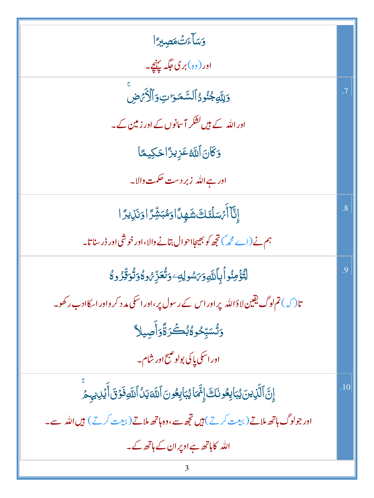| وَسَأَءَتْ مَصِيرًا                                                                           |           |
|-----------------------------------------------------------------------------------------------|-----------|
| اور (وہ)بر کی جگہ پہنچے۔                                                                      |           |
| وَلِلَّهِ جُنُودُ ٱلسَّمَوَاتِ وَٱلْأَرَضِ                                                    | $\cdot$ 7 |
| اور اللہ کے ہیں کشکر آ سانوں کے اور زمین کے۔                                                  |           |
| <u>وَكَانَ اللَّهُ عَزِيزًا حَكِي</u> مًا                                                     |           |
| اور ہے اللہ  زبر دست حکمت والا۔                                                               |           |
| ٳۣڹ۠ٵٚٲؙٙ؍ؘڛؘڷٸٙڷڰۺؘۿٟڽٲٳۅؘۿڹۺؚؖٚڗٙٳۅؘٮؘ۬ڶۣؠڗٙٳ                                               | .8        |
| ہم نے (اے حجہ) تجھ کو بھیجا احوال بتانے والا،اور خوشی اور ڈر سنا تا۔                          |           |
| ڶؾ۠ۜ۠ۏٙٛڡؚڹ۠ۅٲٝۑٲڷڶۜۅۯ؆ۺۅڸڡؚٷؾ۠ۘػڐؚؚٚ؇ؚۅڴٷؾۢۏٟڐۣۨٚۯۅڴ                                         | .9        |
| تا( کہ) تم لوگ یقین لاؤاللہ پر اور اس کے رسول پر ،اور اسکی مد د کر واور اسکاادب رکھو۔         |           |
| وَتُسَبِّحُو\$بُكَرَةًوَأَصِيلاً                                                              |           |
| اور اسکی پاکی بولو صبح اور شام۔                                                               |           |
| إِنَّ ٱلَّذِينَ يُبَايِعُونَكَ إِنَّمَا يُبَايِعُونَ ٱللَّهَ يَلُ ٱللَّهِ فَوۡنَ أَيۡلِ يهِمۡ | .10       |
| اور جولوگ ہاتھ ملاتے ( بیعت کرتے ) ہیں تجھ سے،وہ ہاتھ ملاتے ( بیعت کرتے ) ہیں اللہ ہے۔        |           |
| اللہ کاہاتھ ہےاوپران کے ہاتھ کے۔                                                              |           |
|                                                                                               |           |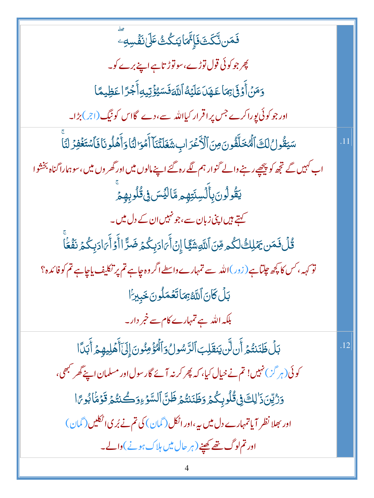**ۘڡؘ**ٙڡؘڹۨڐۜػؘٮٞ؋ؘٳ۪٭ٞؖ*ٞ*ٵؾٮؘػٛٮ۠ٛٵٙ*ؘڶ*ۣۯٮٞۿٞڛ*ڢ*ؖ پھر جو کوئی قول توڑے،سوتوڑ تاہے اپنے برے کو۔ <u>و</u>َمَنۡ أَوۡفَىٰٰٰٓٓٓٓٓہِمَاۡ عَـٰهَدَا عَلَيۡهُۚ ٱللَّهَۖ فَسَيُؤۡتِيهِ أَجۡرًا عَظِيمًا اور جو کوئی پوراکرے جس پر اقرار کیااللہ سے،دے گااس کو نیگ(ج)بڑا۔ سَيَقُولُ لَكَ ٱلْمُخَلَّفُونَ مِنَ ٱلْأَعْرَابِ شَغَلَّتُنَآ أَمَّوَالُّنَا وَأَهَلُونَا فَأَسْتَغُفِرُ لَنَا اب کہیں گے تجھ کو پیچھے رہنے والے گنوار ہم لگے رہ گئے اپنے مالوں میں اور گھر وں میں ، سوہمارا گناہ بخشوا **يَقُولُونَ بِأَلَسِنَتِهِمِ مَّالَيِّسَ فِي قُلُوبِهِمَ** کہتے ہیں اپنی زبان سے ،جو نہیں ان کے دل میں۔ <u>ػ۠ڶٙ؋ؘ</u>ڝؘ؉ٙڸڬٞڵػ۠ۄڡؚۜڹۘٲڷڸۜۊۺؘڲٙٵٳڹٲؘ؆ٳڋۑػٛؽ؋ؘۺڗؖٵٲؘۏٲؘ؆ٳڋۑػ۠ؽؘڔٮؘڡؘٞۼٵؖ تو <sub>کہہ</sub> ، *کس کا پخھ چ*لتاہے ( زور )اللہ سے تمہارے داسطے اگر وہ جاہے تم پر تکلیف پاجاہے تم کو فائدہ؟ بَلِّ كَانَ اللَّهُ بِمَاتَعُمَلُونَ خَبِيرًا بلکہ اللہ ہے تمہارے کام سے خبر دار۔ بَلۡ ظَنَنتُمۡ أَن لَّن يَنقَلِبَ ٱلرَّسُولُ وَٱلٰۡٓؤُمِنُونَ إِلَىٰٓأَهۡلِيهِمۡ أَبَدَا .12 کوئی(ہر گ<sup>ی</sup>) نہیں! تم نے خیال کیا، کہ پھر کرنہ آئے گار سول اور مسلمان اپنے گھر <sup>کہ</sup>ھی، وَرُّيِّنَ ذَٰ لِكَ فِى قُلُوبِكُمۡ وَظَنَنتُمۡ ظَنَّ ٱلسَّوۡءِوَكُنتُمۡ قَوۡمَٰٓا بُوِيَّا اور بھلا نظر آیاتمہارے دل میں ہے،اور اٹکل(گمان) کی تم نے بُر کی اٹکلیں(گمان) اور تم لوگ تھے کھینے (ہر حال میں ہلاک ہونے )والے۔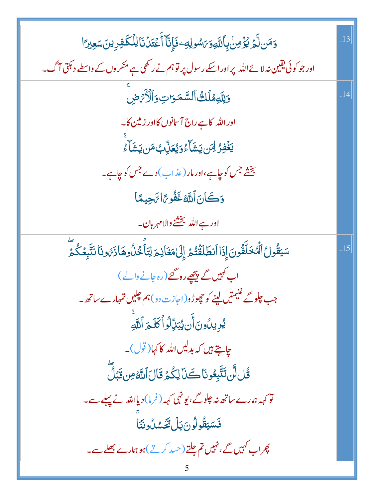| وَمَن لَّمَ يُؤْمِنُ بِأَللَّهِ وَىَسُولِهِ ۖ فَإِنَّآ أَعۡقَدۡ نَالِلۡكَفِرِينَ سَعِيرَ ا          |     |
|-----------------------------------------------------------------------------------------------------|-----|
| اور جو کوئی یقین نہ لائے اللہ پر اور اسکے رسول پر توہم نے رکھی ہے منکر وں کے واسطے دیمتی آگ۔        |     |
| وَلِلَّهِمُلَكُ ٱلسَّمَرَاتِ وَٱلْأَرَضِ                                                            | .14 |
| اور الله کا ہے راج آسانوں کااور <mark>زمین کا</mark> ۔                                              |     |
| <b>يَخۡفِرُ لِآَن يَشَآءُوَيُعَنِّ بُ مَن يَشَآء</b> ُ                                              |     |
| بخشے جس کوچاہے،اور مار (عذاب)دے جس کوچاہے۔                                                          |     |
| وَكَانَ اللَّهُ غَفُوعًا تَجِيعًا                                                                   |     |
| اور ہے اللہ بخشنے والا مہربان۔                                                                      |     |
| سَيَقُولُ ٱلۡمُخَلِّفُونَ إِذَا ٱنطَلَقۡتُمۡ إِلَىٰٰهَغَانِمَ لِتَأۡخُذُوهَاذَىٰۡونَانَتَّبِعُكُمَّ | .15 |
| اب کہیں گے پیچھے رہ گئے (رہ جانے والے )                                                             |     |
| جب چلوگے غنیمتیں لینے کو چھوڑو(اجازت دو)ہم چلیں تمہارے ساتھ <b>۔</b>                                |     |
| يُرِيدُونَ أَن يُبَرِّلُواْكَلَمَ ٱللَّهِ                                                           |     |
| چاہتے ہیں کہ بدلیں <sub>اللّٰہ</sub> کا کہا( قول)۔                                                  |     |
| <u>ڱُّل</u> لَّن تَتَّبِعُونَا كَنَا لِكُمُ قَالَ ٱللَّهُ مِن قَبَلَ                                |     |
| تو کہہ ہمارے ساتھ نہ چلوگے ،یو نہی کہہ ( فرما) دیااللہ نے پہلے سے۔                                  |     |
| فَسَيَقُولُونَ بَلْ تَحَسُّلُونَنَا                                                                 |     |
| پھراپ کہیں گے ، نہیں تم جلتے (حسد کرتے )ہو ہمارے بھلے سے۔                                           |     |
|                                                                                                     |     |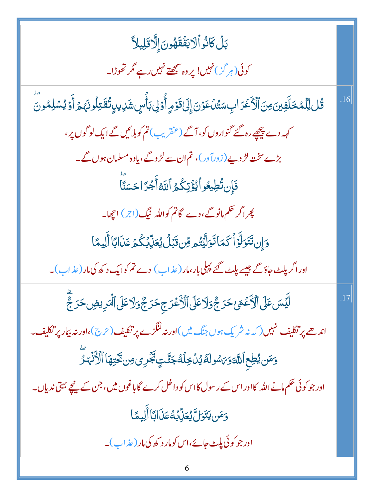| بَلۡ كَانُواۡ لَا يَفۡقَهُونَ إِلَّا قَلِيلاً                                                     |         |
|---------------------------------------------------------------------------------------------------|---------|
| کوئی (ہر گز) نہیں! پروہ سمجھتے نہیں رہے مگر تھوڑا۔                                                |         |
| ۊؙ <i>ٛ</i> ڶڵؚڷڡڂڷؘۏؾ؈ؘٱڷٲػؘڗٳڹؚ؊ۺ۠ٲۼۯؾٳۣڶٷٙۄٟٲ۠ۯڸڹٲٞڛؚۺؘٳۑٳؾؙ۠ڦؘڗؚڶڔڹۘٛؠ <sub>ۿ</sub> ٲۯؽۺڸڡ۠ۊؖ | .16     |
| کہہ دے پیچھپے رہ گئے گنواروں کو، آگے (عنقریب) تم کو بلائیں گے ایک لو گوں پر،                      |         |
| بڑےسخت لڑ دیے ( زورآ ور )، تم ان سے لڑ وگے، یاوہ مسلمان ہوں گے۔                                   |         |
| فَإِن تُطِيعُواْ يُؤْتِكُمُ اللَّهُ أَجْرًا حَسَنًّا                                              |         |
| پھراگر حکم مانو گے،دے گاتم کواللہ نیگ(اجر) اچھا۔                                                  |         |
| وَإِن تَتَوَلَّوۡاۡ كَمَاتَوَلِّيۡتُم مِّن قَبَلۡ يُعَذِّبۡكُمۡ عَذَابًا أَلِيمًا                 |         |
| اور اگر پلٹ جاؤگے جیسے پلٹ گئے پہلی بار ،مار ( عذاب ) دے تم کوایک د کھ کی مار ( عذاب )۔           |         |
| ڵؿ <i>ٞ</i> ٙٮٙڽٷٙڶٲڷٲۼۛڡؠڂڗڿٞۏڷٲۼڶ۩ٲڷػ۫ڬڗڿڂڗڿٞۏڶٲۼڶ۩ٲؙ <i>ڣ</i> ڔؠۻڂڗڿۜٛۧ                        | $.17\,$ |
| اندھے پر تکلیف نہیں( کہ نہ شریک ہوں جنگ میں )اور نہ لنگڑے پر تکلیف ( حرج )،اور نہ بیار پر تکلیف   |         |
| وَمَن يُطِع ٱللَّهَوَىَ سُولَهُ يُدُخِلُهُ جَنَّتٍ يَجۡرِى مِن تَخۡتِهَا ٱلۡأَنۡہَٰرَ             |         |
| اور جو کوئی حکم مانے اللہ کااور اس کے رسول کااس کو داخل کرے گا باغوں میں، جن کے پنچے بہتی ندیاں۔  |         |
| وَمَن يَتَوَلَّ يُعَنِّبُهُ عَذَابًا أَلِيمًا                                                     |         |
| اور جو کوئی پلٹ جائے،اس کومار د کھ کی مار ( عذاب )۔                                               |         |
| 6                                                                                                 |         |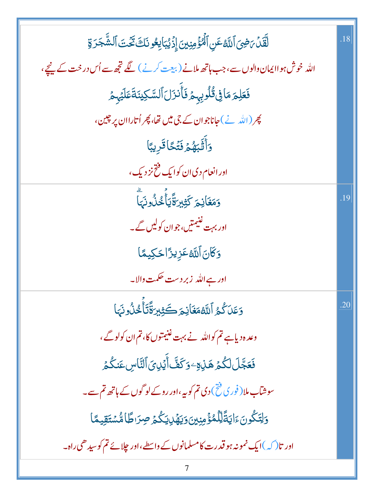| لَّقَلْ بَضِيَ ٱللَّهُ عَنِ ٱلْمُؤْمِنِينَ إِذْيُبَايِعُونَكَ تَكْتَ ٱلشَّجَرَةِ    | .18 |
|-------------------------------------------------------------------------------------|-----|
| اللہ خوش ہواا یمان دالوں سے،جب ہاتھ ملانے (بیعت کرنے) گے تجھ سے اُس در خت کے نیچے،  |     |
| فَعَلِمَ مَافِى قُلُوبِهِمْ فَأَنزَلَ ٱلسَّكِينَةَ عَلَيْهِمْ                       |     |
| پھر (اللہ نے) جاناجوان کے جی میں تھا، پھر اُتاراان پر چین،                          |     |
| وَأَقَّبَهُمۡ فَتَّكَاقَرِيبًا                                                      |     |
| اور انعام دی ان کوایک فتح نز دیک،                                                   |     |
| وَمَغَانِمَ كَثِيرَةًٰيَأَّخُذُونَهَا                                               | .19 |
| اور بہت غنیمتیں، جوان کولیں گے۔                                                     |     |
| وَكَانَ ٱللَّهُ عَزِيزًا حَكِيمًا                                                   |     |
| اور ہے اللہ  زبر دست حکمت والا۔                                                     |     |
| وَعَلَى كُمُ اللَّهُمَغَانِمَ كَثِيرَةَّتَأَخُلُونَهَا                              | .20 |
| وعدہ دیاہے تم کواللہ نے بہت غنیمتوں کا، تم ان کولوگے ،                              |     |
| فَعَجَّلَ لَكُمُ هَٰذِهِ ۖ وَكَفَّ أَيۡلِیَ ٱلنَّاسِ عَنكُمۡ                        |     |
| سوشآب ملا( فوری فتح) دی تم کوبیہ،اور روکے لو گوں کے ہاتھ تم سے۔                     |     |
| <u>ۅ</u> ڶۣؾؘػٛۅڹؘۦٙٳؾڐؐڵؚڷڡٛۏٛٙڡۣڹۣؾؗۏؾۿٙڸؾػٛؽٙڝؚڗٮڟٵۺ۠ۺؾٙقؚۑڡٙٵ                   |     |
| اور تا $(\bigcirc)$ ایک نمونہ ہو قدرت کامسلمانوں کے واسطے،اور چلائے تم کوسیدھی راہ۔ |     |
|                                                                                     |     |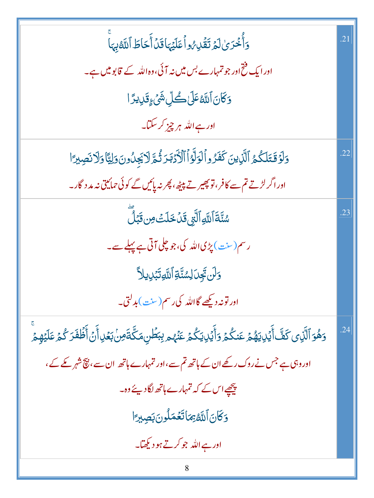| وَأُخْرَىٰ لَمَ تَقُلِّهُ والْعَلَيْهَا قَدْ أَحَاطَ ٱللَّهُ بِهَا                                                                 | .21 |
|------------------------------------------------------------------------------------------------------------------------------------|-----|
| اور ایک فتح اور جو تمہارے بس میں نہ آئی،وہ اللہ کے قابو میں ہے۔                                                                    |     |
| <i>ۏػٙ</i> ؘٳڹٲٮ <i>ڐۿ</i> ػڶڂڴڸۺؘ۬ <sub>ٛٷ</sub> ۊؘڸؠڗٵ                                                                           |     |
| اور ہے اللہ ہر چیز کر سکتا۔                                                                                                        |     |
| وَلَوْقَتَلَكُمُ ٱلَّذِينَ كَفَرُواْلَوَلَّوْٱٱلْأَدْبَدَتُّمَّ لَايَجِلُونَ وَلِيًّا وَلَا نَصِبِرَا                              | .22 |
| اور اگر لڑتے تم سے کافر ،قو پھیر تے پیٹھ ،پھر نہ پائیں گے کوئی حمائیتی نہ مد د گار۔                                                |     |
| <i>ۺ۠</i> ڹؖٞڐؘٱڵڸ <i>ۊ</i> ٲڵؖ <i>ؾۣ</i> قَڶڂؘڶٮٙٛ؈ؾ <i>ڋ</i> ڵؖ                                                                  | .23 |
| رسم(سنت) پڑی اللہ کی،جو چلی آتی ہے پہلے سے۔                                                                                        |     |
| <u>وَلَن تَجِى</u> َ لِسُنَّةِ ٱللَّهِ تَبۡلِ يِلاَّ                                                                               |     |
| اور تونہ دیکھے گااللہ کی رسم(سنت)بدلتی۔                                                                                            |     |
| چ<br>وَهُوَ ٱلَّذِى كَفَّ أَيۡلِايَهُمۡ عَنكُمۡ وَأَيۡلِايَكُمۡ عَنۡهُم لِبَطۡلِ مَكَّةَ مِنۡ بَعۡلِ أَنۡ أَظۡفَرَ كُمۡ عَلَيۡهِمۡ |     |
| اور وہی ہے جس نے روک رکھے ان کے ہاتھ تم سے،اور تمہارے ہاتھ ان سے، نیچ شہر کے کے ،                                                  |     |
| پیچھےاس کے کہ تمہارے ہاتھ لگادیئے دہ۔                                                                                              |     |
| وَكَانَ ٱللَّهُ بِمَاتَعُمَلُونَ بَصِيرًا                                                                                          |     |
| اور ہے اللہ جو کرتے ہو دیکھتا۔                                                                                                     |     |
| 8                                                                                                                                  |     |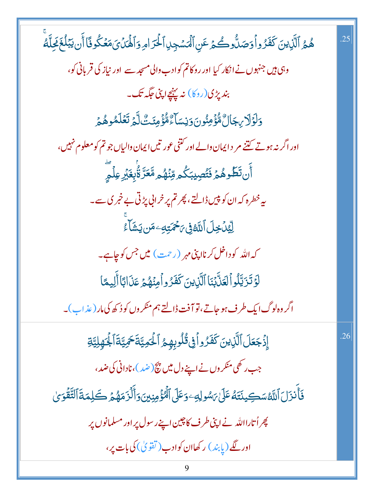هُمُ ٱلَّذِينَ كَفَزُواْوَصَلُّوكُمۡ عَنِ ٱلۡمَسۡجِلِٱلۡحَرَامِوَٱلۡمَٰٓلَىٰٓ مَعۡكُوفَاۤأَن يَبۡلُغَ مَحِلَّهُ وہی ہیں جنہوں نے انکار کیا اور روکاتم کوادب والی مسجد سے اور نیاز کی قربانی کو، بندیڑی(روکا) نہ پہنچےاپنی جگہ تک۔ <u>و</u>َلَوۡلَا بِجَالٌ مُّؤۡمِنُونَ وَنِسَآءٌ مُّؤۡمِنَتَّ لَّٰٓءَ تَعۡلَمُوهُمۡ اور اگر نہ ہوتے گتنے مر د ایمان والے اور کتنی عور تیں ایمان والیاں جو تم کو معلوم نہیں، ٲٛڹ**ؾؘڟۢۧ**ۅۿ۠ؽٙ؋ؘٚؾ۠ڝؚؽۣڹۜڴۄڡؚۨڹ۫ۿ۠ۄڡؓۼڗؓٷؙٚٛؠۼؘڹٞڔٵؚ۬ڋؖ یہ خطرہ کہ ان کو پی<u>ں ڈالتے، پھر</u>تم پر خرانی پڑتی بے خبر ک سے۔ **ِلِّيْدُخِلَ ٱللَّهُ فِى يَحْمَتِ**كِ مَن يَشَأْءُ کہ اللہ کوداخل کرنااپنی مہر (رحمت) میں جس کوچاہے۔ لَوۡ تَزَيَّلُواۡلَعَلَّيۡنَاۤالَّذِينَ كَفَرُواۡ مِنۡهُمۡ عَذَالَآاَلَٰٓلِيمَّا اگر وہ لوگ ایک طرف ہو جاتے، تو آفت ڈالتے ہم منکر وں کو دُ کھ کی مار ( عذ اب )۔ إِذْجَعَلَ ٱلَّذِينَ كَفَرُواْ فِى قُلُوبِهِمُ ٱلْحَمِيَّةَ حَمِيَّةَ ٱلْجَهِلِيَّةِ .26 جب رکھی منکر وں نے اپنے دل میں پیچ(ضد)،نادانی کی ضد، فَأَنزَلَ ٱللَّهُسَكِينَتَهُ عَلَىٰ رَسُولِهِ وَعَلَى ٱلْمُؤْمِنِينَ وَأَلْزَمَهُمۡ كَلِمَةَ ٱلتَّقۡوَىٰ پھر اُتارااللہ نے اپنی طرف کا چین اپنے رسول پر اور مسلمانوں پر اور لگے (پابند) رکھاان کوادب (تقویٰ) کی بات پر،

25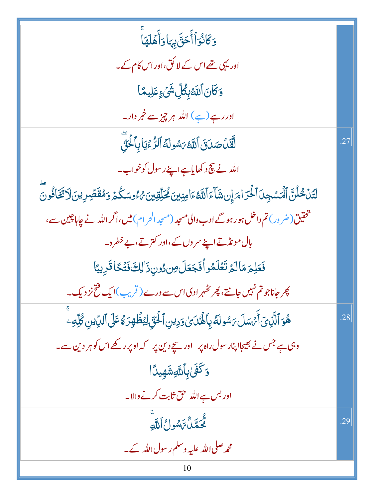| وَكَانُوَٱأَخَقَّ بِهَاوَأَهۡلَهَاۚ                                                                                                     |     |
|-----------------------------------------------------------------------------------------------------------------------------------------|-----|
| اور یہی تھے اس کے لا کُق،اور اس کام کے۔                                                                                                 |     |
| <mark>ۯؘ</mark> ػؘٲڹٲڷڷڟۑؚڟ۠ڵؚۺ۬ <sub>ۘػ</sub> ؏عؘڶؚۑڡٙٵ                                                                                |     |
| اور رہے(ہے) اللہ ہر چ <sub>ز سے</sub> خ <u>مر</u> دار۔                                                                                  |     |
| لَقَّلۡ صَدَقَ ٱللَّهُ يَسُولَهُ ٱلرُّءۡيَاٰبِٱلۡئَ                                                                                     | .27 |
| الله نے بچ د کھایاہے اپنے رسول کوخواب۔                                                                                                  |     |
| ڶؾؑڶۛڂٛڵڹؓ۩ڵڡ <sup>ٙ</sup> ۺڿؚٮٱڶڂۘڗٳڡ <sub>ٙ</sub> ٳۣڹۺؘٲءٙٱڷڷ <sup>ۣ</sup> ڠٵڡؚڹؾٷؗڂڵؚۊؚؾؽؽٷڡۺػۢؽ <sub>ۘ</sub> ۏڡڨقؘڞؚڔؠڹؘڷٲؿؘڂؘٲۏ۠ۏؖ |     |
| شخقیق(ضر ور) تم داخل ہو رہوگے ادب والی مسجد (مسجد الحر ام) میں،اگر اللہ نے جاہاچین سے،                                                  |     |
| بال مونڈتے اپنے سروں کے،اور کترتے،بےخطرہ۔                                                                                               |     |
| فَعَلِمَ مَالَمُ تَعُلَمُواْ فَجَعَلَ مِن دُونِ ذَٰ لِكَ فَتَكَاقَرِيبًا                                                                |     |
| پھر جاناجو تم نہیں جانتے، پھر تظہر ادی اس سے ورے ( قریب )ایک فتح نز دیک۔<br>*                                                           |     |
| ۿؙۅؘٱڶۜ <i>ٙڹٝ؈ٓ</i> ٲٙ <i>؆ٙۺڶ؆ۺ</i> ۅڶ <i>ڠ</i> ۑؚٲۿؙ <i>ۮ؈ؘۏ</i> ؠڹۣٱڂۘ۬ؾؚۜ۠ڶؚؽڟؙۿؚۯۿ۫ڡؘٙڶ۩ڵڮۨؾڹۣڴڸۜڡؚؗ                              | .28 |
| وہی ہے جس نے بھیجاا پنار سول راہ پر    اور سیچ دین پر    کہ اوپر رکھے اس کو ہر دین سے۔                                                  |     |
| <u>و</u> َكَفَىٰٰبِٱللَّٰعِشَهِيدًا                                                                                                     |     |
| اور بس ہے اللہ حق ثابت کرنے والا۔                                                                                                       |     |
| تَّحَمَّكْ تَاسُولُ أَللَّهِ                                                                                                            | .29 |
| محمہ صلی اللہ علیہ وسلم رسول اللہ کے۔                                                                                                   |     |
| 10                                                                                                                                      |     |